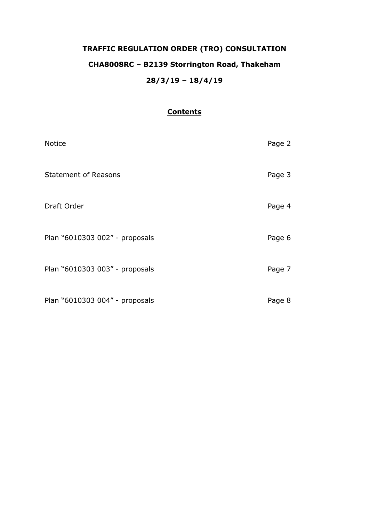# **TRAFFIC REGULATION ORDER (TRO) CONSULTATION CHA8008RC – B2139 Storrington Road, Thakeham 28/3/19 – 18/4/19**

## **Contents**

| <b>Notice</b>                  | Page 2 |
|--------------------------------|--------|
| <b>Statement of Reasons</b>    | Page 3 |
| Draft Order                    | Page 4 |
| Plan "6010303 002" - proposals | Page 6 |
| Plan "6010303 003" - proposals | Page 7 |
| Plan "6010303 004" - proposals | Page 8 |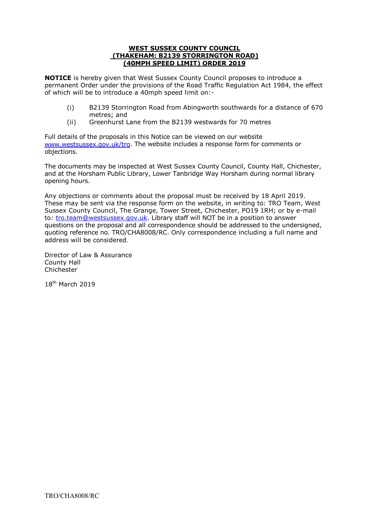#### **WEST SUSSEX COUNTY COUNCIL (THAKEHAM: B2139 STORRINGTON ROAD) (40MPH SPEED LIMIT) ORDER 2019**

**NOTICE** is hereby given that West Sussex County Council proposes to introduce a permanent Order under the provisions of the Road Traffic Regulation Act 1984, the effect of which will be to introduce a 40mph speed limit on:-

- (i) B2139 Storrington Road from Abingworth southwards for a distance of 670 metres; and
- (ii) Greenhurst Lane from the B2139 westwards for 70 metres

Full details of the proposals in this Notice can be viewed on our website [www.westsussex.gov.uk/tro.](http://www.westsussex.gov.uk/tro) The website includes a response form for comments or objections.

The documents may be inspected at West Sussex County Council, County Hall, Chichester, and at the Horsham Public Library, Lower Tanbridge Way Horsham during normal library opening hours.

Any objections or comments about the proposal must be received by 18 April 2019. These may be sent via the response form on the website, in writing to: TRO Team, West Sussex County Council, The Grange, Tower Street, Chichester, PO19 1RH; or by e-mail to: [tro.team@westsussex.gov.uk.](mailto:tro.team@westsussex.gov.uk) Library staff will NOT be in a position to answer questions on the proposal and all correspondence should be addressed to the undersigned, quoting reference no. TRO/CHA8008/RC. Only correspondence including a full name and address will be considered.

Director of Law & Assurance County Hall Chichester

18th March 2019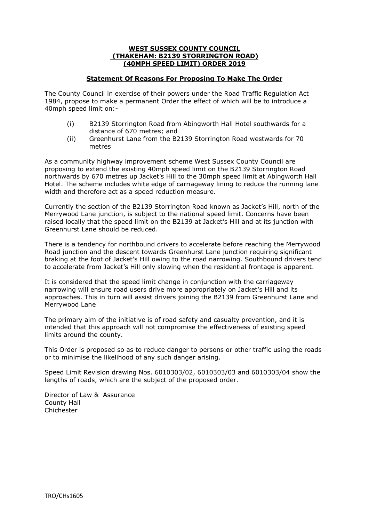#### **WEST SUSSEX COUNTY COUNCIL (THAKEHAM: B2139 STORRINGTON ROAD) (40MPH SPEED LIMIT) ORDER 2019**

#### **Statement Of Reasons For Proposing To Make The Order**

The County Council in exercise of their powers under the Road Traffic Regulation Act 1984, propose to make a permanent Order the effect of which will be to introduce a 40mph speed limit on:-

- (i) B2139 Storrington Road from Abingworth Hall Hotel southwards for a distance of 670 metres; and
- (ii) Greenhurst Lane from the B2139 Storrington Road westwards for 70 metres

As a community highway improvement scheme West Sussex County Council are proposing to extend the existing 40mph speed limit on the B2139 Storrington Road northwards by 670 metres up Jacket's Hill to the 30mph speed limit at Abingworth Hall Hotel. The scheme includes white edge of carriageway lining to reduce the running lane width and therefore act as a speed reduction measure.

Currently the section of the B2139 Storrington Road known as Jacket's Hill, north of the Merrywood Lane junction, is subject to the national speed limit. Concerns have been raised locally that the speed limit on the B2139 at Jacket's Hill and at its junction with Greenhurst Lane should be reduced.

There is a tendency for northbound drivers to accelerate before reaching the Merrywood Road junction and the descent towards Greenhurst Lane junction requiring significant braking at the foot of Jacket's Hill owing to the road narrowing. Southbound drivers tend to accelerate from Jacket's Hill only slowing when the residential frontage is apparent.

It is considered that the speed limit change in conjunction with the carriageway narrowing will ensure road users drive more appropriately on Jacket's Hill and its approaches. This in turn will assist drivers joining the B2139 from Greenhurst Lane and Merrywood Lane

The primary aim of the initiative is of road safety and casualty prevention, and it is intended that this approach will not compromise the effectiveness of existing speed limits around the county.

This Order is proposed so as to reduce danger to persons or other traffic using the roads or to minimise the likelihood of any such danger arising.

Speed Limit Revision drawing Nos. 6010303/02, 6010303/03 and 6010303/04 show the lengths of roads, which are the subject of the proposed order.

Director of Law & Assurance County Hall Chichester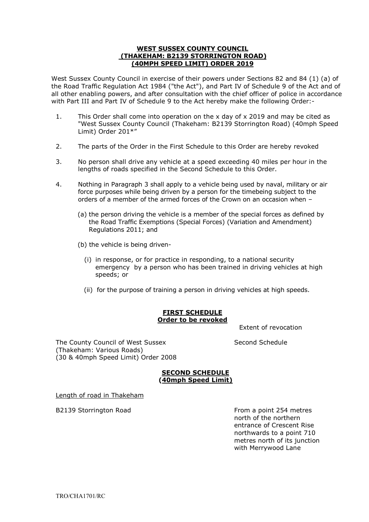#### **WEST SUSSEX COUNTY COUNCIL (THAKEHAM: B2139 STORRINGTON ROAD) (40MPH SPEED LIMIT) ORDER 2019**

West Sussex County Council in exercise of their powers under Sections 82 and 84 (1) (a) of the Road Traffic Regulation Act 1984 ("the Act"), and Part IV of Schedule 9 of the Act and of all other enabling powers, and after consultation with the chief officer of police in accordance with Part III and Part IV of Schedule 9 to the Act hereby make the following Order:-

- 1. This Order shall come into operation on the x day of x 2019 and may be cited as "West Sussex County Council (Thakeham: B2139 Storrington Road) (40mph Speed Limit) Order 201\*"
- 2. The parts of the Order in the First Schedule to this Order are hereby revoked
- 3. No person shall drive any vehicle at a speed exceeding 40 miles per hour in the lengths of roads specified in the Second Schedule to this Order.
- 4. Nothing in Paragraph 3 shall apply to a vehicle being used by naval, military or air force purposes while being driven by a person for the timebeing subject to the orders of a member of the armed forces of the Crown on an occasion when –
	- (a) the person driving the vehicle is a member of the special forces as defined by the Road Traffic Exemptions (Special Forces) (Variation and Amendment) Regulations 2011; and
	- (b) the vehicle is being driven-
		- (i) in response, or for practice in responding, to a national security emergency by a person who has been trained in driving vehicles at high speeds; or
		- (ii) for the purpose of training a person in driving vehicles at high speeds.

### **FIRST SCHEDULE Order to be revoked**

Extent of revocation

The County Council of West Sussex Second Schedule (Thakeham: Various Roads) (30 & 40mph Speed Limit) Order 2008

#### **SECOND SCHEDULE (40mph Speed Limit)**

Length of road in Thakeham

B2139 Storrington Road **From a point 254 metres** north of the northern entrance of Crescent Rise northwards to a point 710 metres north of its junction with Merrywood Lane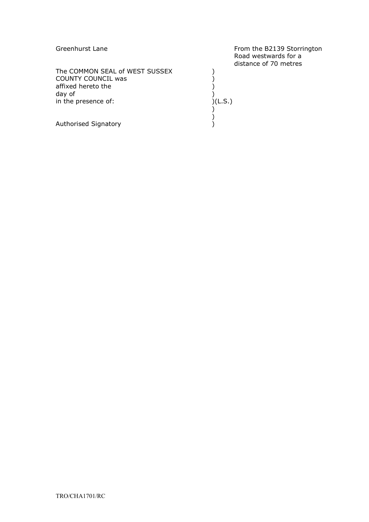| Greenhurst Lane                | From the B2139 Storrington<br>Road westwards for a<br>distance of 70 metres |
|--------------------------------|-----------------------------------------------------------------------------|
| The COMMON SEAL of WEST SUSSEX |                                                                             |
| <b>COUNTY COUNCIL was</b>      |                                                                             |
| affixed hereto the             |                                                                             |
| day of                         |                                                                             |
|                                |                                                                             |
| in the presence of:            | )(L.S.)                                                                     |
|                                |                                                                             |
|                                |                                                                             |
| Authorised Signatory           |                                                                             |
|                                |                                                                             |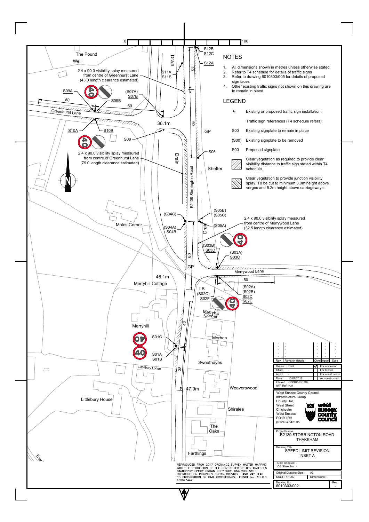| Littlebury House | Shiralea<br><b>The</b>                                                                                                                                                                                                                                                                            | Infrastructure Group<br>County Hall,<br><b>west</b><br><b>West Street</b><br><b>SUSSEX</b><br>Chichester<br><b>West Sussex</b><br><b>county</b><br>$\epsilon$<br><b>PO19 1RH</b><br>council<br>(01243) 642105 |
|------------------|---------------------------------------------------------------------------------------------------------------------------------------------------------------------------------------------------------------------------------------------------------------------------------------------------|---------------------------------------------------------------------------------------------------------------------------------------------------------------------------------------------------------------|
| $\diamondsuit$   | Oaks <sub>1</sub><br>Farthings                                                                                                                                                                                                                                                                    | Project Name<br><b>B2139 STORRINGTON ROAD</b><br><b>THAKEHAM</b><br>Drawing Title<br>SPEED LIMIT REVISION<br><b>INSET A</b>                                                                                   |
|                  | REPRODUCED FROM 2017 ORDNANCE SURVEY MASTER MAPPING<br>WITH THE PERMISSION OF THE CONTROLLER OF HER MAJESTY'S<br>STATIONERY OFFICE CROWN COPYRIGHT. UNAUTHORISED<br>REPRODUCTION INFRINGES CROWN COPYRIGHT AND MAY LEAD<br>TO PROSECUTION OR CIVIL PROCEEDINGS. LICENCE No. W.S.C.C.<br>100023447 | Date Adopted: -<br>OS Sheet No. -<br>A <sub>3</sub><br>Original Drawing Size:<br>Scale: 1:1000<br>Dimensions : -<br>Drawing No<br>Rev<br>6010303/002<br>$\sim$                                                |

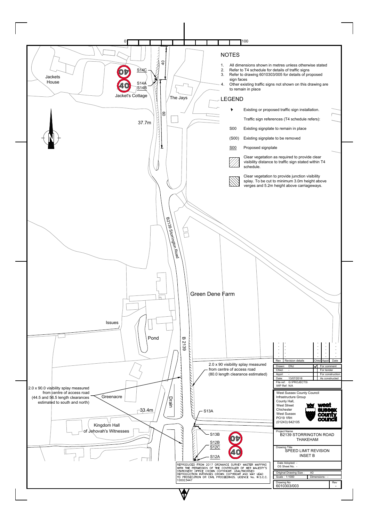